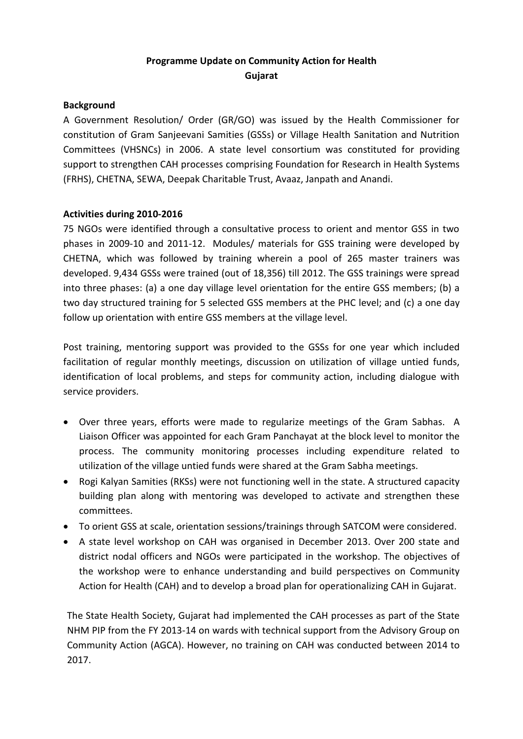# **Programme Update on Community Action for Health Gujarat**

## **Background**

A Government Resolution/ Order (GR/GO) was issued by the Health Commissioner for constitution of Gram Sanjeevani Samities (GSSs) or Village Health Sanitation and Nutrition Committees (VHSNCs) in 2006. A state level consortium was constituted for providing support to strengthen CAH processes comprising Foundation for Research in Health Systems (FRHS), CHETNA, SEWA, Deepak Charitable Trust, Avaaz, Janpath and Anandi.

## **Activities during 2010-2016**

75 NGOs were identified through a consultative process to orient and mentor GSS in two phases in 2009-10 and 2011-12. Modules/ materials for GSS training were developed by CHETNA, which was followed by training wherein a pool of 265 master trainers was developed. 9,434 GSSs were trained (out of 18,356) till 2012. The GSS trainings were spread into three phases: (a) a one day village level orientation for the entire GSS members; (b) a two day structured training for 5 selected GSS members at the PHC level; and (c) a one day follow up orientation with entire GSS members at the village level.

Post training, mentoring support was provided to the GSSs for one year which included facilitation of regular monthly meetings, discussion on utilization of village untied funds, identification of local problems, and steps for community action, including dialogue with service providers.

- Over three years, efforts were made to regularize meetings of the Gram Sabhas. A Liaison Officer was appointed for each Gram Panchayat at the block level to monitor the process. The community monitoring processes including expenditure related to utilization of the village untied funds were shared at the Gram Sabha meetings.
- Rogi Kalyan Samities (RKSs) were not functioning well in the state. A structured capacity building plan along with mentoring was developed to activate and strengthen these committees.
- To orient GSS at scale, orientation sessions/trainings through SATCOM were considered.
- A state level workshop on CAH was organised in December 2013. Over 200 state and district nodal officers and NGOs were participated in the workshop. The objectives of the workshop were to enhance understanding and build perspectives on Community Action for Health (CAH) and to develop a broad plan for operationalizing CAH in Gujarat.

The State Health Society, Gujarat had implemented the CAH processes as part of the State NHM PIP from the FY 2013-14 on wards with technical support from the Advisory Group on Community Action (AGCA). However, no training on CAH was conducted between 2014 to 2017.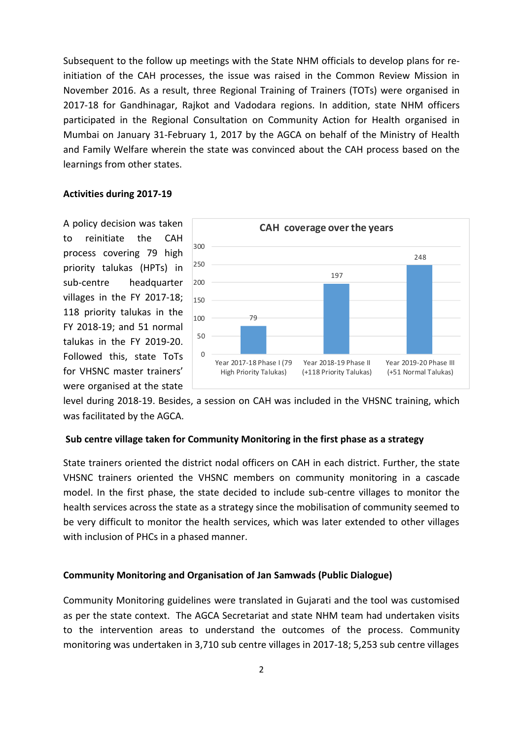Subsequent to the follow up meetings with the State NHM officials to develop plans for reinitiation of the CAH processes, the issue was raised in the Common Review Mission in November 2016. As a result, three Regional Training of Trainers (TOTs) were organised in 2017-18 for Gandhinagar, Rajkot and Vadodara regions. In addition, state NHM officers participated in the Regional Consultation on Community Action for Health organised in Mumbai on January 31-February 1, 2017 by the AGCA on behalf of the Ministry of Health and Family Welfare wherein the state was convinced about the CAH process based on the learnings from other states.

#### **Activities during 2017-19**

A policy decision was taken to reinitiate the CAH process covering 79 high priority talukas (HPTs) in sub-centre headquarter villages in the FY 2017-18; 118 priority talukas in the FY 2018-19; and 51 normal talukas in the FY 2019-20. Followed this, state ToTs for VHSNC master trainers' were organised at the state



level during 2018-19. Besides, a session on CAH was included in the VHSNC training, which was facilitated by the AGCA.

### **Sub centre village taken for Community Monitoring in the first phase as a strategy**

State trainers oriented the district nodal officers on CAH in each district. Further, the state VHSNC trainers oriented the VHSNC members on community monitoring in a cascade model. In the first phase, the state decided to include sub-centre villages to monitor the health services across the state as a strategy since the mobilisation of community seemed to be very difficult to monitor the health services, which was later extended to other villages with inclusion of PHCs in a phased manner.

#### **Community Monitoring and Organisation of Jan Samwads (Public Dialogue)**

Community Monitoring guidelines were translated in Gujarati and the tool was customised as per the state context. The AGCA Secretariat and state NHM team had undertaken visits to the intervention areas to understand the outcomes of the process. Community monitoring was undertaken in 3,710 sub centre villages in 2017-18; 5,253 sub centre villages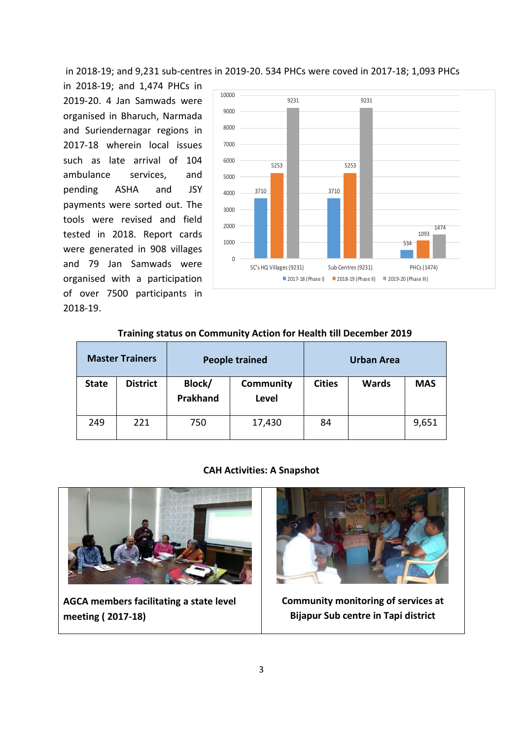in 2018-19; and 9,231 sub-centres in 2019-20. 534 PHCs were coved in 2017-18; 1,093 PHCs

in 2018-19; and 1,474 PHCs in 2019-20. 4 Jan Samwads were organised in Bharuch, Narmada and Suriendernagar regions in 2017-18 wherein local issues such as late arrival of 104 ambulance services, and pending ASHA and JSY payments were sorted out. The tools were revised and field tested in 2018. Report cards were generated in 908 villages and 79 Jan Samwads were organised with a participation of over 7500 participants in 2018-19.



| <b>Master Trainers</b> |                 | <b>People trained</b> |                                  | <b>Urban Area</b> |              |            |  |  |  |
|------------------------|-----------------|-----------------------|----------------------------------|-------------------|--------------|------------|--|--|--|
| <b>State</b>           | <b>District</b> | Block/<br>Prakhand    | <b>Community</b><br><b>Level</b> | <b>Cities</b>     | <b>Wards</b> | <b>MAS</b> |  |  |  |
| 249                    | 221             | 750                   | 17,430                           | 84                |              | 9,651      |  |  |  |

### **Training status on Community Action for Health till December 2019**

#### **CAH Activities: A Snapshot**



**AGCA members facilitating a state level meeting ( 2017-18)**



**Community monitoring of services at Bijapur Sub centre in Tapi district**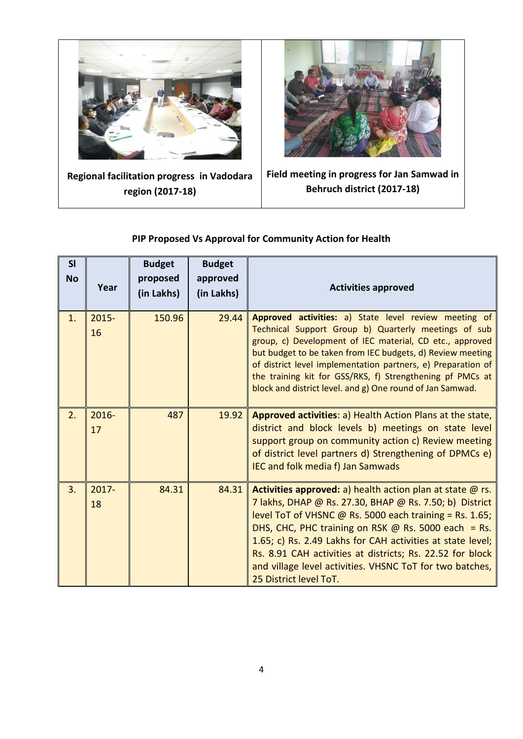

**Regional facilitation progress in Vadodara region (2017-18)**



**Field meeting in progress for Jan Samwad in Behruch district (2017-18)**

#### **Sl No Year Budget proposed (in Lakhs) Budget approved (in Lakhs) Activities approved** 1. 2015- 16 150.96 29.44 **Approved activities:** a) State level review meeting of Technical Support Group b) Quarterly meetings of sub group, c) Development of IEC material, CD etc., approved but budget to be taken from IEC budgets, d) Review meeting of district level implementation partners, e) Preparation of the training kit for GSS/RKS, f) Strengthening pf PMCs at block and district level. and g) One round of Jan Samwad.  $2. \ 2016 -$ 17 487 19.92 **Approved activities**: a) Health Action Plans at the state, district and block levels b) meetings on state level support group on community action c) Review meeting of district level partners d) Strengthening of DPMCs e) IEC and folk media f) Jan Samwads  $3. \ 2017 -$ 18 84.31 84.31 **Activities approved:** a) health action plan at state @ rs. 7 lakhs, DHAP @ Rs. 27.30, BHAP @ Rs. 7.50; b) District level ToT of VHSNC  $\omega$  Rs. 5000 each training = Rs. 1.65; DHS, CHC, PHC training on RSK @ Rs. 5000 each = Rs. 1.65; c) Rs. 2.49 Lakhs for CAH activities at state level; Rs. 8.91 CAH activities at districts; Rs. 22.52 for block and village level activities. VHSNC ToT for two batches, 25 District level ToT.

## **PIP Proposed Vs Approval for Community Action for Health**